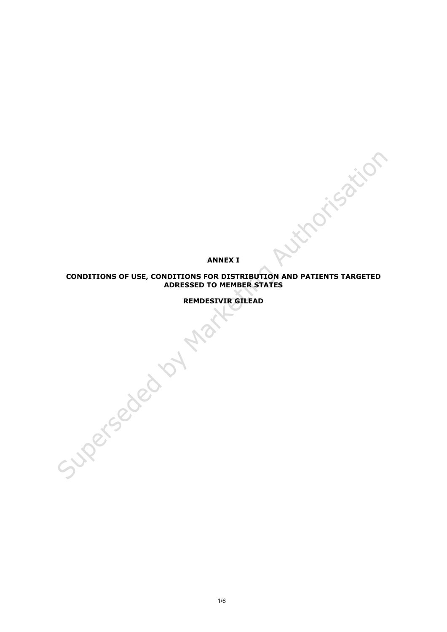**ANNEX I**

# **CONDITIONS OF USE, CONDITIONS FOR DISTRIBUTION AND PATIENTS TARGETED ADRESSED TO MEMBER STATES**

**REMDESIVIR GILEAD** 

1/6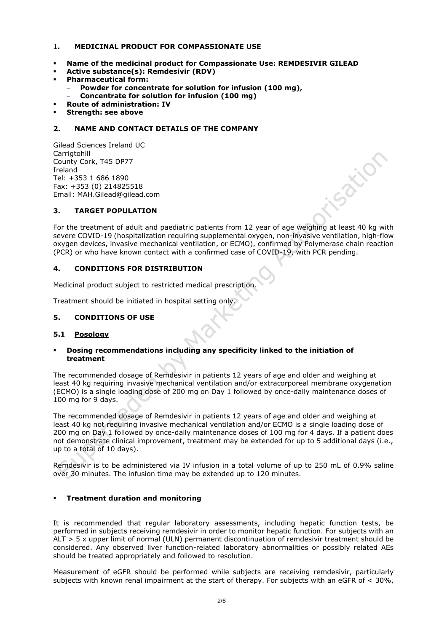## 1**. MEDICINAL PRODUCT FOR COMPASSIONATE USE**

- **Name of the medicinal product for Compassionate Use: REMDESIVIR GILEAD**
- **Active substance(s): Remdesivir (RDV)**
- **Pharmaceutical form:**
	- − **Powder for concentrate for solution for infusion (100 mg),**
	- − **Concentrate for solution for infusion (100 mg)**
- **Route of administration: IV**
- **Strength: see above**

# **2. NAME AND CONTACT DETAILS OF THE COMPANY**

Gilead Sciences Ireland UC Carrigtohill County Cork, T45 DP77 Ireland Tel: +353 1 686 1890 Fax: +353 (0) 214825518 Email: MAH[.Gilead@gilead.com](mailto:Gilead@gilead.com)

## **3. TARGET POPULATION**

For the treatment of adult and paediatric patients from 12 year of age weighing at least 40 kg with severe COVID-19 (hospitalization requiring supplemental oxygen, non-invasive ventilation, high-flow oxygen devices, invasive mechanical ventilation, or ECMO), confirmed by Polymerase chain reaction (PCR) or who have known contact with a confirmed case of COVID-19, with PCR pending.

Sation

## **4. CONDITIONS FOR DISTRIBUTION**

Medicinal product subject to restricted medical prescription.

Treatment should be initiated in hospital setting only.

## **5. CONDITIONS OF USE**

## **5.1 Posology**

## **Dosing recommendations including any specificity linked to the initiation of treatment**

The recommended dosage of Remdesivir in patients 12 years of age and older and weighing at least 40 kg requiring invasive mechanical ventilation and/or extracorporeal membrane oxygenation (ECMO) is a single loading dose of 200 mg on Day 1 followed by once-daily maintenance doses of 100 mg for 9 days.

The recommended dosage of Remdesivir in patients 12 years of age and older and weighing at least 40 kg not requiring invasive mechanical ventilation and/or ECMO is a single loading dose of 200 mg on Day 1 followed by once-daily maintenance doses of 100 mg for 4 days. If a patient does not demonstrate clinical improvement, treatment may be extended for up to 5 additional days (i.e., up to a total of 10 days).

Remdesivir is to be administered via IV infusion in a total volume of up to 250 mL of 0.9% saline over 30 minutes. The infusion time may be extended up to 120 minutes.

# **Treatment duration and monitoring**

It is recommended that regular laboratory assessments, including hepatic function tests, be performed in subjects receiving remdesivir in order to monitor hepatic function. For subjects with an ALT > 5 x upper limit of normal (ULN) permanent discontinuation of remdesivir treatment should be considered. Any observed liver function-related laboratory abnormalities or possibly related AEs should be treated appropriately and followed to resolution.

Measurement of eGFR should be performed while subjects are receiving remdesivir, particularly subjects with known renal impairment at the start of therapy. For subjects with an eGFR of < 30%,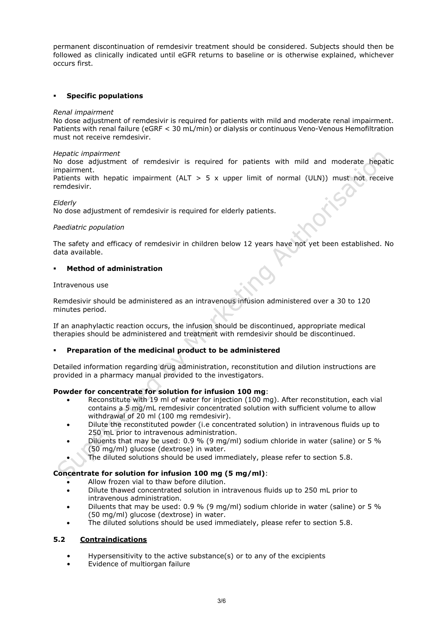permanent discontinuation of remdesivir treatment should be considered. Subjects should then be followed as clinically indicated until eGFR returns to baseline or is otherwise explained, whichever occurs first.

## **Specific populations**

#### *Renal impairment*

No dose adjustment of remdesivir is required for patients with mild and moderate renal impairment. Patients with renal failure (eGRF < 30 mL/min) or dialysis or continuous Veno-Venous Hemofiltration must not receive remdesivir.

#### *Hepatic impairment*

No dose adjustment of remdesivir is required for patients with mild and moderate hepatic impairment.

Patients with hepatic impairment (ALT  $> 5 \times$  upper limit of normal (ULN)) must not receive remdesivir.

## *Elderly*

No dose adjustment of remdesivir is required for elderly patients.

#### *Paediatric population*

The safety and efficacy of remdesivir in children below 12 years have not yet been established. No data available.

## **Method of administration**

#### Intravenous use

Remdesivir should be administered as an intravenous infusion administered over a 30 to 120 minutes period.

If an anaphylactic reaction occurs, the infusion should be discontinued, appropriate medical therapies should be administered and treatment with remdesivir should be discontinued.

## **Preparation of the medicinal product to be administered**

Detailed information regarding drug administration, reconstitution and dilution instructions are provided in a pharmacy manual provided to the investigators.

## **Powder for concentrate for solution for infusion 100 mg**:

- Reconstitute with 19 ml of water for injection (100 mg). After reconstitution, each vial contains a 5 mg/mL remdesivir concentrated solution with sufficient volume to allow withdrawal of 20 ml (100 mg remdesivir).
- Dilute the reconstituted powder (i.e concentrated solution) in intravenous fluids up to 250 mL prior to intravenous administration.
- Diluents that may be used: 0.9 % (9 mg/ml) sodium chloride in water (saline) or 5 % (50 mg/ml) glucose (dextrose) in water.
- The diluted solutions should be used immediately, please refer to section 5.8.

# **Concentrate for solution for infusion 100 mg (5 mg/ml)**:

- Allow frozen vial to thaw before dilution.
- Dilute thawed concentrated solution in intravenous fluids up to 250 mL prior to intravenous administration.
- Diluents that may be used: 0.9 % (9 mg/ml) sodium chloride in water (saline) or 5 % (50 mg/ml) glucose (dextrose) in water.
- The diluted solutions should be used immediately, please refer to section 5.8.

## **5.2 Contraindications**

- Hypersensitivity to the active substance(s) or to any of the excipients
- Evidence of multiorgan failure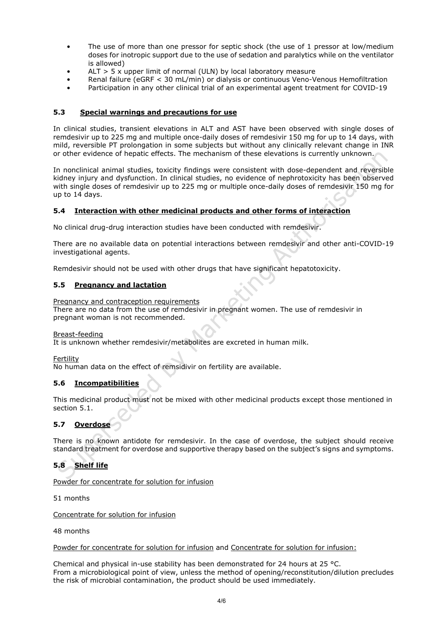- The use of more than one pressor for septic shock (the use of 1 pressor at low/medium doses for inotropic support due to the use of sedation and paralytics while on the ventilator is allowed)
- ALT  $>$  5 x upper limit of normal (ULN) by local laboratory measure
- Renal failure (eGRF < 30 mL/min) or dialysis or continuous Veno-Venous Hemofiltration
- Participation in any other clinical trial of an experimental agent treatment for COVID-19

# **5.3 Special warnings and precautions for use**

In clinical studies, transient elevations in ALT and AST have been observed with single doses of remdesivir up to 225 mg and multiple once-daily doses of remdesivir 150 mg for up to 14 days, with mild, reversible PT prolongation in some subjects but without any clinically relevant change in INR or other evidence of hepatic effects. The mechanism of these elevations is currently unknown.

In nonclinical animal studies, toxicity findings were consistent with dose-dependent and reversible kidney injury and dysfunction. In clinical studies, no evidence of nephrotoxicity has been observed with single doses of remdesivir up to 225 mg or multiple once-daily doses of remdesivir 150 mg for up to 14 days.

## **5.4 Interaction with other medicinal products and other forms of interaction**

No clinical drug-drug interaction studies have been conducted with remdesivir.

There are no available data on potential interactions between remdesivir and other anti-COVID-19 investigational agents.

Remdesivir should not be used with other drugs that have significant hepatotoxicity.

## **5.5 Pregnancy and lactation**

Pregnancy and contraception requirements

There are no data from the use of remdesivir in pregnant women. The use of remdesivir in pregnant woman is not recommended.

#### Breast-feeding

It is unknown whether remdesivir/metabolites are excreted in human milk.

Fertility

No human data on the effect of remsidivir on fertility are available.

## **5.6 Incompatibilities**

This medicinal product must not be mixed with other medicinal products except those mentioned in section 5.1.

# **5.7 Overdose**

There is no known antidote for remdesivir. In the case of overdose, the subject should receive standard treatment for overdose and supportive therapy based on the subject's signs and symptoms.

# **5.8 Shelf life**

Powder for concentrate for solution for infusion

51 months

Concentrate for solution for infusion

48 months

#### Powder for concentrate for solution for infusion and Concentrate for solution for infusion:

Chemical and physical in-use stability has been demonstrated for 24 hours at 25 °C. From a microbiological point of view, unless the method of opening/reconstitution/dilution precludes the risk of microbial contamination, the product should be used immediately.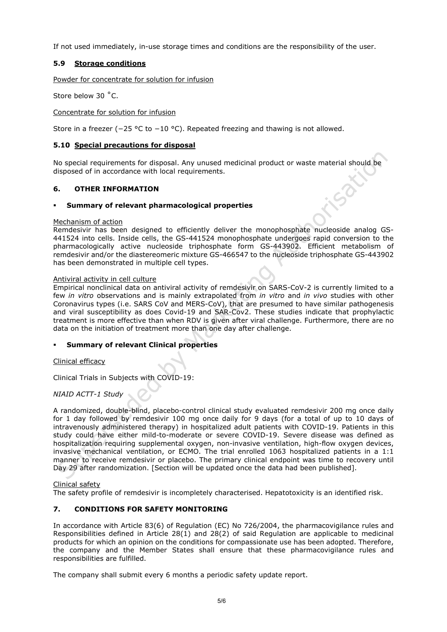If not used immediately, in-use storage times and conditions are the responsibility of the user.

# **5.9 Storage conditions**

Powder for concentrate for solution for infusion

Store below 30 ˚C.

Concentrate for solution for infusion

Store in a freezer (−25 °C to −10 °C). Repeated freezing and thawing is not allowed.

## **5.10 Special precautions for disposal**

No special requirements for disposal. Any unused medicinal product or waste material should be disposed of in accordance with local requirements.

## **6. OTHER INFORMATION**

## **Summary of relevant pharmacological properties**

## Mechanism of action

Remdesivir has been designed to efficiently deliver the monophosphate nucleoside analog GS-441524 into cells. Inside cells, the GS-441524 monophosphate undergoes rapid conversion to the pharmacologically active nucleoside triphosphate form GS-443902. Efficient metabolism of remdesivir and/or the diastereomeric mixture GS-466547 to the nucleoside triphosphate GS-443902 has been demonstrated in multiple cell types.

## Antiviral activity in cell culture

Empirical nonclinical data on antiviral activity of remdesivir on SARS-CoV-2 is currently limited to a few *in vitro* observations and is mainly extrapolated from *in vitro* and *in vivo* studies with other Coronavirus types (i.e. SARS CoV and MERS-CoV), that are presumed to have similar pathogenesis and viral susceptibility as does Covid-19 and SAR-Cov2. These studies indicate that prophylactic treatment is more effective than when RDV is given after viral challenge. Furthermore, there are no data on the initiation of treatment more than one day after challenge.

## **Summary of relevant Clinical properties**

Clinical efficacy

Clinical Trials in Subjects with COVID-19:

## *NIAID ACTT-1 Study*

A randomized, double-blind, placebo-control clinical study evaluated remdesivir 200 mg once daily for 1 day followed by remdesivir 100 mg once daily for 9 days (for a total of up to 10 days of intravenously administered therapy) in hospitalized adult patients with COVID-19. Patients in this study could have either mild-to-moderate or severe COVID-19. Severe disease was defined as hospitalization requiring supplemental oxygen, non-invasive ventilation, high-flow oxygen devices, invasive mechanical ventilation, or ECMO. The trial enrolled 1063 hospitalized patients in a 1:1 manner to receive remdesivir or placebo. The primary clinical endpoint was time to recovery until Day 29 after randomization. [Section will be updated once the data had been published].

## Clinical safety

The safety profile of remdesivir is incompletely characterised. Hepatotoxicity is an identified risk.

# **7. CONDITIONS FOR SAFETY MONITORING**

In accordance with Article 83(6) of Regulation (EC) No 726/2004, the pharmacovigilance rules and Responsibilities defined in Article 28(1) and 28(2) of said Regulation are applicable to medicinal products for which an opinion on the conditions for compassionate use has been adopted. Therefore, the company and the Member States shall ensure that these pharmacovigilance rules and responsibilities are fulfilled.

The company shall submit every 6 months a periodic safety update report.